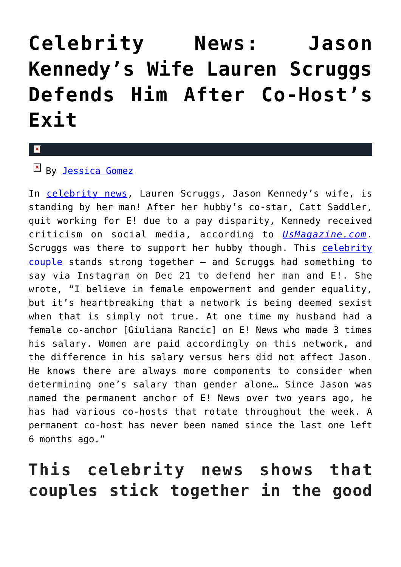## **[Celebrity News: Jason](https://cupidspulse.com/122259/celebrity-news-lauren-scruggs-defends-jason-kennedy-after-co-host-exit/) [Kennedy's Wife Lauren Scruggs](https://cupidspulse.com/122259/celebrity-news-lauren-scruggs-defends-jason-kennedy-after-co-host-exit/) [Defends Him After Co-Host's](https://cupidspulse.com/122259/celebrity-news-lauren-scruggs-defends-jason-kennedy-after-co-host-exit/) [Exit](https://cupidspulse.com/122259/celebrity-news-lauren-scruggs-defends-jason-kennedy-after-co-host-exit/)**

 $By$  <u>Jessica Gomez</u>

In [celebrity news](http://cupidspulse.com/?s=celebrity+news), Lauren Scruggs, Jason Kennedy's wife, is standing by her man! After her hubby's co-star, Catt Saddler, quit working for E! due to a pay disparity, Kennedy received criticism on social media, according to *[UsMagazine.com](https://www.usmagazine.com/entertainment/news/jason-kennedys-wife-lauren-scruggs-defends-him-after-catt-sadlers-e-exit/)*. Scruggs was there to support her hubby though. This [celebrity](http://cupidspulse.com/?s=celebrity+couples) [couple](http://cupidspulse.com/?s=celebrity+couples) stands strong together — and Scruggs had something to say via Instagram on Dec 21 to defend her man and E!. She wrote, "I believe in female empowerment and gender equality, but it's heartbreaking that a network is being deemed sexist when that is simply not true. At one time my husband had a female co-anchor [Giuliana Rancic] on E! News who made 3 times his salary. Women are paid accordingly on this network, and the difference in his salary versus hers did not affect Jason. He knows there are always more components to consider when determining one's salary than gender alone… Since Jason was named the permanent anchor of E! News over two years ago, he has had various co-hosts that rotate throughout the week. A permanent co-host has never been named since the last one left 6 months ago."

### **This celebrity news shows that couples stick together in the good**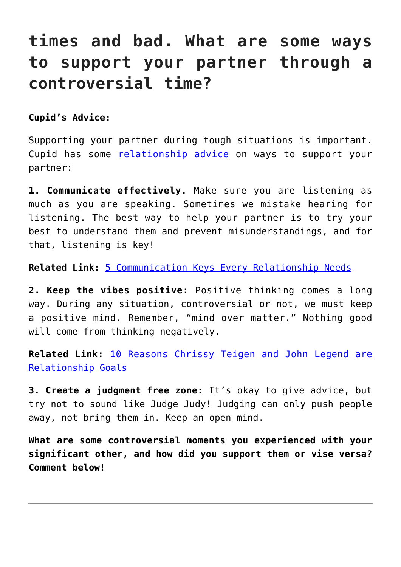### **times and bad. What are some ways to support your partner through a controversial time?**

**Cupid's Advice:**

Supporting your partner during tough situations is important. Cupid has some [relationship advice](http://cupidspulse.com/love/relationship-advice-articles/) on ways to support your partner:

**1. Communicate effectively.** Make sure you are listening as much as you are speaking. Sometimes we mistake hearing for listening. The best way to help your partner is to try your best to understand them and prevent misunderstandings, and for that, listening is key!

**Related Link:** [5 Communication Keys Every Relationship Needs](http://cupidspulse.com/118446/relationship-advice-communication-keys-every-relationship-needs/)

**2. Keep the vibes positive:** Positive thinking comes a long way. During any situation, controversial or not, we must keep a positive mind. Remember, "mind over matter." Nothing good will come from thinking negatively.

**Related Link:** [10 Reasons Chrissy Teigen and John Legend are](http://cupidspulse.com/118393/celebrity-couple-chrissy-teigen-and-john-legend-relationship-goals/) [Relationship Goals](http://cupidspulse.com/118393/celebrity-couple-chrissy-teigen-and-john-legend-relationship-goals/)

**3. Create a judgment free zone:** It's okay to give advice, but try not to sound like Judge Judy! Judging can only push people away, not bring them in. Keep an open mind.

**What are some controversial moments you experienced with your significant other, and how did you support them or vise versa? Comment below!**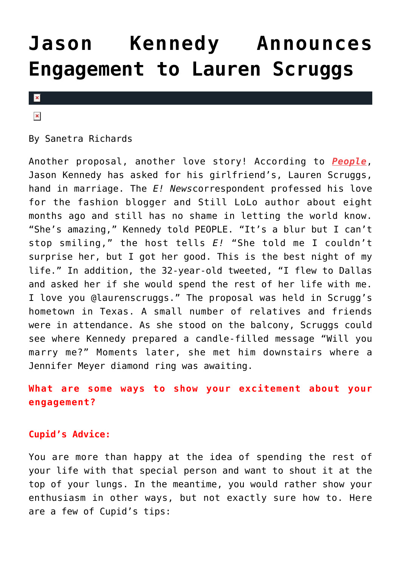## **[Jason Kennedy Announces](https://cupidspulse.com/75407/jason-kennedy-announces-engagement-to-lauren-scruggs/) [Engagement to Lauren Scruggs](https://cupidspulse.com/75407/jason-kennedy-announces-engagement-to-lauren-scruggs/)**



 $\pmb{\times}$ 

By Sanetra Richards

Another proposal, another love story! According to *[People](http://www.people.com/article/lauren-scruggs-jason-kennedy-marriage-proposal)*, Jason Kennedy has asked for his girlfriend's, Lauren Scruggs, hand in marriage. The *E! News*correspondent professed his love for the fashion blogger and Still LoLo author about eight months ago and still has no shame in letting the world know. "She's amazing," Kennedy told PEOPLE. "It's a blur but I can't stop smiling," the host tells *E!* "She told me I couldn't surprise her, but I got her good. This is the best night of my life." In addition, the 32-year-old tweeted, "I flew to Dallas and asked her if she would spend the rest of her life with me. I love you @laurenscruggs." The proposal was held in Scrugg's hometown in Texas. A small number of relatives and friends were in attendance. As she stood on the balcony, Scruggs could see where Kennedy prepared a candle-filled message "Will you marry me?" Moments later, she met him downstairs where a Jennifer Meyer diamond ring was awaiting.

**What are some ways to show your excitement about your engagement?**

#### **Cupid's Advice:**

You are more than happy at the idea of spending the rest of your life with that special person and want to shout it at the top of your lungs. In the meantime, you would rather show your enthusiasm in other ways, but not exactly sure how to. Here are a few of Cupid's tips: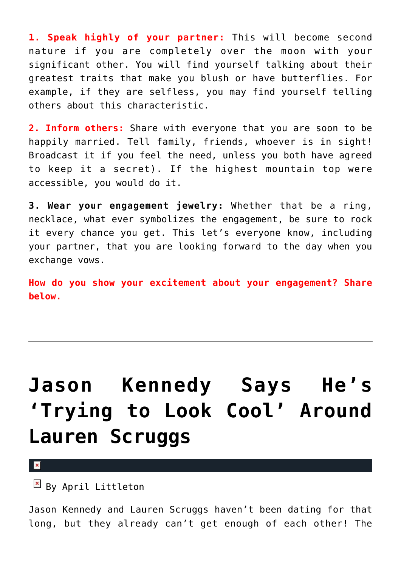**1. Speak highly of your partner:** This will become second nature if you are completely over the moon with your significant other. You will find yourself talking about their greatest traits that make you blush or have butterflies. For example, if they are selfless, you may find yourself telling others about this characteristic.

**2. Inform others:** Share with everyone that you are soon to be happily married. Tell family, friends, whoever is in sight! Broadcast it if you feel the need, unless you both have agreed to keep it a secret). If the highest mountain top were accessible, you would do it.

**3. Wear your engagement jewelry:** Whether that be a ring, necklace, what ever symbolizes the engagement, be sure to rock it every chance you get. This let's everyone know, including your partner, that you are looking forward to the day when you exchange vows.

**How do you show your excitement about your engagement? Share below.**

# **[Jason Kennedy Says He's](https://cupidspulse.com/57400/jason-kennedy-trying-to-look-cool-lauren-scruggs/) ['Trying to Look Cool' Around](https://cupidspulse.com/57400/jason-kennedy-trying-to-look-cool-lauren-scruggs/) [Lauren Scruggs](https://cupidspulse.com/57400/jason-kennedy-trying-to-look-cool-lauren-scruggs/)**

 $\mathbf{x}$ 

 $\mathbb{F}$  By April Littleton

Jason Kennedy and Lauren Scruggs haven't been dating for that long, but they already can't get enough of each other! The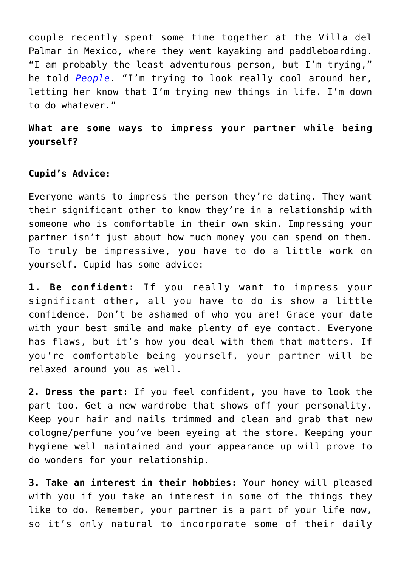couple recently spent some time together at the Villa del Palmar in Mexico, where they went kayaking and paddleboarding. "I am probably the least adventurous person, but I'm trying," he told *[People](http://www.people.com/people/article/0,,20732606,00.html)*. "I'm trying to look really cool around her, letting her know that I'm trying new things in life. I'm down to do whatever."

**What are some ways to impress your partner while being yourself?**

#### **Cupid's Advice:**

Everyone wants to impress the person they're dating. They want their significant other to know they're in a relationship with someone who is comfortable in their own skin. Impressing your partner isn't just about how much money you can spend on them. To truly be impressive, you have to do a little work on yourself. Cupid has some advice:

**1. Be confident:** If you really want to impress your significant other, all you have to do is show a little confidence. Don't be ashamed of who you are! Grace your date with your best smile and make plenty of eye contact. Everyone has flaws, but it's how you deal with them that matters. If you're comfortable being yourself, your partner will be relaxed around you as well.

**2. Dress the part:** If you feel confident, you have to look the part too. Get a new wardrobe that shows off your personality. Keep your hair and nails trimmed and clean and grab that new cologne/perfume you've been eyeing at the store. Keeping your hygiene well maintained and your appearance up will prove to do wonders for your relationship.

**3. Take an interest in their hobbies:** Your honey will pleased with you if you take an interest in some of the things they like to do. Remember, your partner is a part of your life now, so it's only natural to incorporate some of their daily